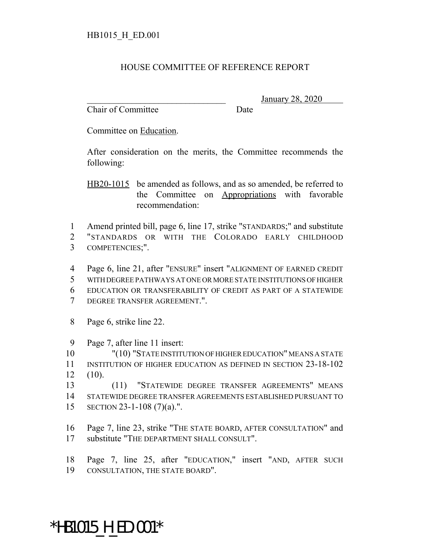## HOUSE COMMITTEE OF REFERENCE REPORT

Chair of Committee Date

\_\_\_\_\_\_\_\_\_\_\_\_\_\_\_\_\_\_\_\_\_\_\_\_\_\_\_\_\_\_\_ January 28, 2020

Committee on Education.

After consideration on the merits, the Committee recommends the following:

HB20-1015 be amended as follows, and as so amended, be referred to the Committee on Appropriations with favorable recommendation:

 Amend printed bill, page 6, line 17, strike "STANDARDS;" and substitute "STANDARDS OR WITH THE COLORADO EARLY CHILDHOOD COMPETENCIES;".

 Page 6, line 21, after "ENSURE" insert "ALIGNMENT OF EARNED CREDIT WITH DEGREE PATHWAYS AT ONE OR MORE STATE INSTITUTIONS OF HIGHER EDUCATION OR TRANSFERABILITY OF CREDIT AS PART OF A STATEWIDE DEGREE TRANSFER AGREEMENT.".

Page 6, strike line 22.

Page 7, after line 11 insert:

 "(10) "STATE INSTITUTION OF HIGHER EDUCATION" MEANS A STATE INSTITUTION OF HIGHER EDUCATION AS DEFINED IN SECTION 23-18-102 (10).

 (11) "STATEWIDE DEGREE TRANSFER AGREEMENTS" MEANS STATEWIDE DEGREE TRANSFER AGREEMENTS ESTABLISHED PURSUANT TO SECTION 23-1-108 (7)(a).".

 Page 7, line 23, strike "THE STATE BOARD, AFTER CONSULTATION" and substitute "THE DEPARTMENT SHALL CONSULT".

 Page 7, line 25, after "EDUCATION," insert "AND, AFTER SUCH CONSULTATION, THE STATE BOARD".

## \*HB1015\_H\_ED.001\*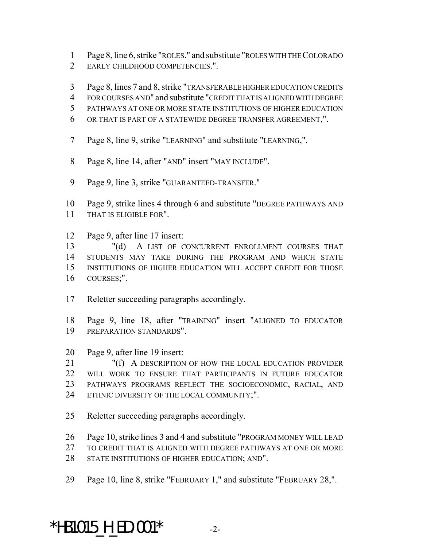- Page 8, line 6, strike "ROLES." and substitute "ROLES WITH THE COLORADO
- EARLY CHILDHOOD COMPETENCIES.".
- Page 8, lines 7 and 8, strike "TRANSFERABLE HIGHER EDUCATION CREDITS
- FOR COURSES AND" and substitute "CREDIT THAT IS ALIGNED WITH DEGREE
- PATHWAYS AT ONE OR MORE STATE INSTITUTIONS OF HIGHER EDUCATION
- OR THAT IS PART OF A STATEWIDE DEGREE TRANSFER AGREEMENT,".
- Page 8, line 9, strike "LEARNING" and substitute "LEARNING,".
- 8 Page 8, line 14, after "AND" insert "MAY INCLUDE".
- Page 9, line 3, strike "GUARANTEED-TRANSFER."
- Page 9, strike lines 4 through 6 and substitute "DEGREE PATHWAYS AND THAT IS ELIGIBLE FOR".
- Page 9, after line 17 insert:

13 "(d) A LIST OF CONCURRENT ENROLLMENT COURSES THAT STUDENTS MAY TAKE DURING THE PROGRAM AND WHICH STATE INSTITUTIONS OF HIGHER EDUCATION WILL ACCEPT CREDIT FOR THOSE COURSES;".

- Reletter succeeding paragraphs accordingly.
- Page 9, line 18, after "TRAINING" insert "ALIGNED TO EDUCATOR PREPARATION STANDARDS".
- Page 9, after line 19 insert:

 "(f) A DESCRIPTION OF HOW THE LOCAL EDUCATION PROVIDER WILL WORK TO ENSURE THAT PARTICIPANTS IN FUTURE EDUCATOR PATHWAYS PROGRAMS REFLECT THE SOCIOECONOMIC, RACIAL, AND ETHNIC DIVERSITY OF THE LOCAL COMMUNITY;".

- Reletter succeeding paragraphs accordingly.
- Page 10, strike lines 3 and 4 and substitute "PROGRAM MONEY WILL LEAD
- TO CREDIT THAT IS ALIGNED WITH DEGREE PATHWAYS AT ONE OR MORE
- 28 STATE INSTITUTIONS OF HIGHER EDUCATION; AND".
- Page 10, line 8, strike "FEBRUARY 1," and substitute "FEBRUARY 28,".

\*HB1015 H ED.001\*  $-2$ -